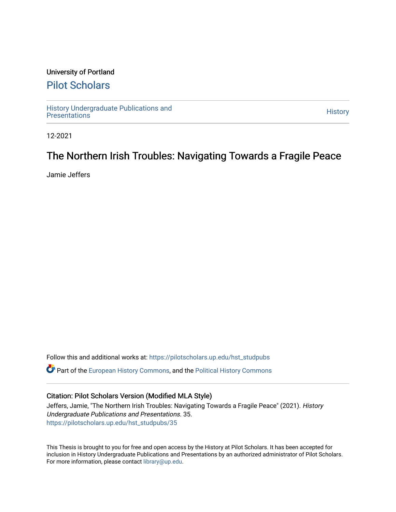### University of Portland

## [Pilot Scholars](https://pilotscholars.up.edu/)

[History Undergraduate Publications and](https://pilotscholars.up.edu/hst_studpubs) the state of the state of the [History](https://pilotscholars.up.edu/hst) (History of the History of the History<br>Presentations

12-2021

## The Northern Irish Troubles: Navigating Towards a Fragile Peace

Jamie Jeffers

Follow this and additional works at: [https://pilotscholars.up.edu/hst\\_studpubs](https://pilotscholars.up.edu/hst_studpubs?utm_source=pilotscholars.up.edu%2Fhst_studpubs%2F35&utm_medium=PDF&utm_campaign=PDFCoverPages)  Part of the [European History Commons](https://network.bepress.com/hgg/discipline/492?utm_source=pilotscholars.up.edu%2Fhst_studpubs%2F35&utm_medium=PDF&utm_campaign=PDFCoverPages), and the [Political History Commons](https://network.bepress.com/hgg/discipline/505?utm_source=pilotscholars.up.edu%2Fhst_studpubs%2F35&utm_medium=PDF&utm_campaign=PDFCoverPages) 

#### Citation: Pilot Scholars Version (Modified MLA Style)

Jeffers, Jamie, "The Northern Irish Troubles: Navigating Towards a Fragile Peace" (2021). History Undergraduate Publications and Presentations. 35. [https://pilotscholars.up.edu/hst\\_studpubs/35](https://pilotscholars.up.edu/hst_studpubs/35?utm_source=pilotscholars.up.edu%2Fhst_studpubs%2F35&utm_medium=PDF&utm_campaign=PDFCoverPages) 

This Thesis is brought to you for free and open access by the History at Pilot Scholars. It has been accepted for inclusion in History Undergraduate Publications and Presentations by an authorized administrator of Pilot Scholars. For more information, please contact [library@up.edu.](mailto:library@up.edu)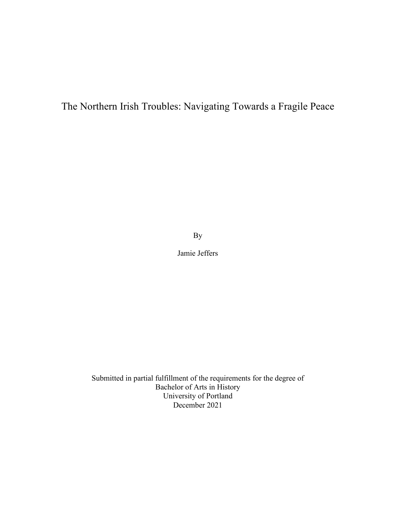# The Northern Irish Troubles: Navigating Towards a Fragile Peace

By

Jamie Jeffers

Submitted in partial fulfillment of the requirements for the degree of Bachelor of Arts in History University of Portland December 2021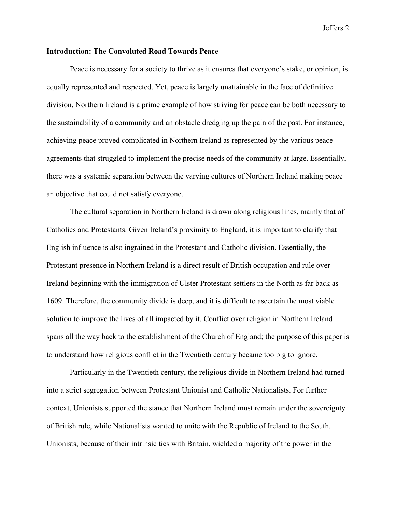#### **Introduction: The Convoluted Road Towards Peace**

Peace is necessary for a society to thrive as it ensures that everyone's stake, or opinion, is equally represented and respected. Yet, peace is largely unattainable in the face of definitive division. Northern Ireland is a prime example of how striving for peace can be both necessary to the sustainability of a community and an obstacle dredging up the pain of the past. For instance, achieving peace proved complicated in Northern Ireland as represented by the various peace agreements that struggled to implement the precise needs of the community at large. Essentially, there was a systemic separation between the varying cultures of Northern Ireland making peace an objective that could not satisfy everyone.

The cultural separation in Northern Ireland is drawn along religious lines, mainly that of Catholics and Protestants. Given Ireland's proximity to England, it is important to clarify that English influence is also ingrained in the Protestant and Catholic division. Essentially, the Protestant presence in Northern Ireland is a direct result of British occupation and rule over Ireland beginning with the immigration of Ulster Protestant settlers in the North as far back as 1609. Therefore, the community divide is deep, and it is difficult to ascertain the most viable solution to improve the lives of all impacted by it. Conflict over religion in Northern Ireland spans all the way back to the establishment of the Church of England; the purpose of this paper is to understand how religious conflict in the Twentieth century became too big to ignore.

Particularly in the Twentieth century, the religious divide in Northern Ireland had turned into a strict segregation between Protestant Unionist and Catholic Nationalists. For further context, Unionists supported the stance that Northern Ireland must remain under the sovereignty of British rule, while Nationalists wanted to unite with the Republic of Ireland to the South. Unionists, because of their intrinsic ties with Britain, wielded a majority of the power in the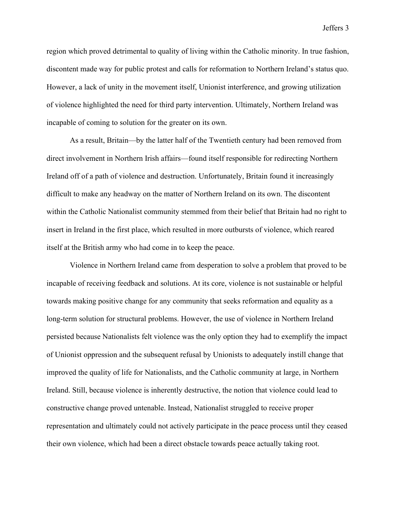region which proved detrimental to quality of living within the Catholic minority. In true fashion, discontent made way for public protest and calls for reformation to Northern Ireland's status quo. However, a lack of unity in the movement itself, Unionist interference, and growing utilization of violence highlighted the need for third party intervention. Ultimately, Northern Ireland was incapable of coming to solution for the greater on its own.

As a result, Britain—by the latter half of the Twentieth century had been removed from direct involvement in Northern Irish affairs—found itself responsible for redirecting Northern Ireland off of a path of violence and destruction. Unfortunately, Britain found it increasingly difficult to make any headway on the matter of Northern Ireland on its own. The discontent within the Catholic Nationalist community stemmed from their belief that Britain had no right to insert in Ireland in the first place, which resulted in more outbursts of violence, which reared itself at the British army who had come in to keep the peace.

Violence in Northern Ireland came from desperation to solve a problem that proved to be incapable of receiving feedback and solutions. At its core, violence is not sustainable or helpful towards making positive change for any community that seeks reformation and equality as a long-term solution for structural problems. However, the use of violence in Northern Ireland persisted because Nationalists felt violence was the only option they had to exemplify the impact of Unionist oppression and the subsequent refusal by Unionists to adequately instill change that improved the quality of life for Nationalists, and the Catholic community at large, in Northern Ireland. Still, because violence is inherently destructive, the notion that violence could lead to constructive change proved untenable. Instead, Nationalist struggled to receive proper representation and ultimately could not actively participate in the peace process until they ceased their own violence, which had been a direct obstacle towards peace actually taking root.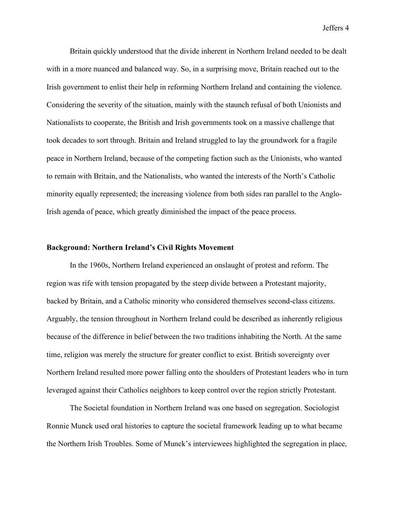Britain quickly understood that the divide inherent in Northern Ireland needed to be dealt with in a more nuanced and balanced way. So, in a surprising move, Britain reached out to the Irish government to enlist their help in reforming Northern Ireland and containing the violence. Considering the severity of the situation, mainly with the staunch refusal of both Unionists and Nationalists to cooperate, the British and Irish governments took on a massive challenge that took decades to sort through. Britain and Ireland struggled to lay the groundwork for a fragile peace in Northern Ireland, because of the competing faction such as the Unionists, who wanted to remain with Britain, and the Nationalists, who wanted the interests of the North's Catholic minority equally represented; the increasing violence from both sides ran parallel to the Anglo-Irish agenda of peace, which greatly diminished the impact of the peace process.

#### **Background: Northern Ireland's Civil Rights Movement**

In the 1960s, Northern Ireland experienced an onslaught of protest and reform. The region was rife with tension propagated by the steep divide between a Protestant majority, backed by Britain, and a Catholic minority who considered themselves second-class citizens. Arguably, the tension throughout in Northern Ireland could be described as inherently religious because of the difference in belief between the two traditions inhabiting the North. At the same time, religion was merely the structure for greater conflict to exist. British sovereignty over Northern Ireland resulted more power falling onto the shoulders of Protestant leaders who in turn leveraged against their Catholics neighbors to keep control over the region strictly Protestant.

The Societal foundation in Northern Ireland was one based on segregation. Sociologist Ronnie Munck used oral histories to capture the societal framework leading up to what became the Northern Irish Troubles. Some of Munck's interviewees highlighted the segregation in place,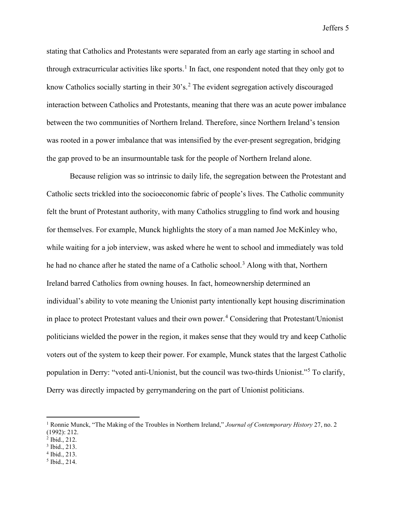stating that Catholics and Protestants were separated from an early age starting in school and through extracurricular activities like sports.<sup>[1](#page-5-0)</sup> In fact, one respondent noted that they only got to know Catholics socially starting in their  $30$ 's.<sup>[2](#page-5-1)</sup> The evident segregation actively discouraged interaction between Catholics and Protestants, meaning that there was an acute power imbalance between the two communities of Northern Ireland. Therefore, since Northern Ireland's tension was rooted in a power imbalance that was intensified by the ever-present segregation, bridging the gap proved to be an insurmountable task for the people of Northern Ireland alone.

Because religion was so intrinsic to daily life, the segregation between the Protestant and Catholic sects trickled into the socioeconomic fabric of people's lives. The Catholic community felt the brunt of Protestant authority, with many Catholics struggling to find work and housing for themselves. For example, Munck highlights the story of a man named Joe McKinley who, while waiting for a job interview, was asked where he went to school and immediately was told he had no chance after he stated the name of a Catholic school.<sup>[3](#page-5-2)</sup> Along with that, Northern Ireland barred Catholics from owning houses. In fact, homeownership determined an individual's ability to vote meaning the Unionist party intentionally kept housing discrimination in place to protect Protestant values and their own power. [4](#page-5-3) Considering that Protestant/Unionist politicians wielded the power in the region, it makes sense that they would try and keep Catholic voters out of the system to keep their power. For example, Munck states that the largest Catholic population in Derry: "voted anti-Unionist, but the council was two-thirds Unionist."[5](#page-5-4) To clarify, Derry was directly impacted by gerrymandering on the part of Unionist politicians.

- <span id="page-5-3"></span><sup>4</sup> Ibid., 213.
- <span id="page-5-4"></span><sup>5</sup> Ibid., 214.

<span id="page-5-0"></span><sup>1</sup> Ronnie Munck, "The Making of the Troubles in Northern Ireland," *Journal of Contemporary History* 27, no. 2 (1992): 212.

<span id="page-5-1"></span><sup>2</sup> Ibid., 212.

<span id="page-5-2"></span><sup>3</sup> Ibid., 213.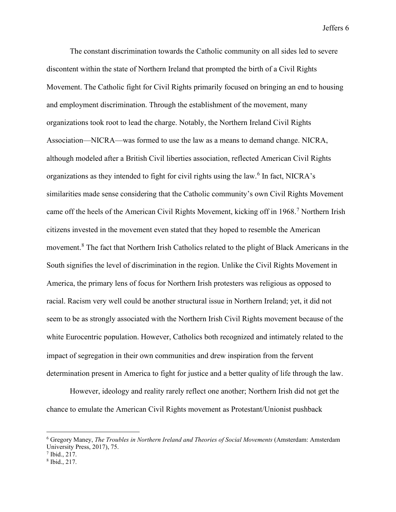The constant discrimination towards the Catholic community on all sides led to severe discontent within the state of Northern Ireland that prompted the birth of a Civil Rights Movement. The Catholic fight for Civil Rights primarily focused on bringing an end to housing and employment discrimination. Through the establishment of the movement, many organizations took root to lead the charge. Notably, the Northern Ireland Civil Rights Association—NICRA—was formed to use the law as a means to demand change. NICRA, although modeled after a British Civil liberties association, reflected American Civil Rights organizations as they intended to fight for civil rights using the law.[6](#page-6-0) In fact, NICRA's similarities made sense considering that the Catholic community's own Civil Rights Movement came off the heels of the American Civil Rights Movement, kicking off in 1968.<sup>[7](#page-6-1)</sup> Northern Irish citizens invested in the movement even stated that they hoped to resemble the American movement.[8](#page-6-2) The fact that Northern Irish Catholics related to the plight of Black Americans in the South signifies the level of discrimination in the region. Unlike the Civil Rights Movement in America, the primary lens of focus for Northern Irish protesters was religious as opposed to racial. Racism very well could be another structural issue in Northern Ireland; yet, it did not seem to be as strongly associated with the Northern Irish Civil Rights movement because of the white Eurocentric population. However, Catholics both recognized and intimately related to the impact of segregation in their own communities and drew inspiration from the fervent determination present in America to fight for justice and a better quality of life through the law.

However, ideology and reality rarely reflect one another; Northern Irish did not get the chance to emulate the American Civil Rights movement as Protestant/Unionist pushback

<span id="page-6-0"></span><sup>6</sup> Gregory Maney, *The Troubles in Northern Ireland and Theories of Social Movements* (Amsterdam: Amsterdam University Press, 2017), 75.

<span id="page-6-1"></span> $<sup>7</sup>$  Ibid., 217.</sup>

<span id="page-6-2"></span><sup>8</sup> Ibid., 217.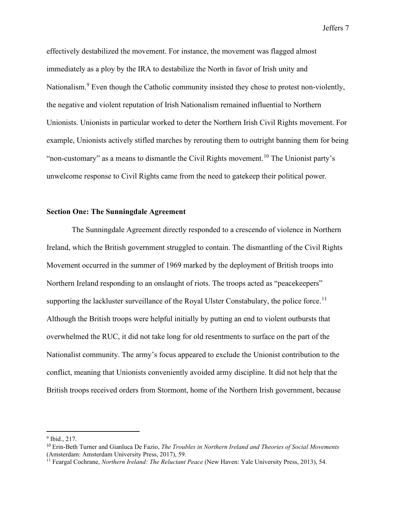effectively destabilized the movement. For instance, the movement was flagged almost immediately as a ploy by the IRA to destabilize the North in favor of Irish unity and Nationalism.<sup>[9](#page-7-0)</sup> Even though the Catholic community insisted they chose to protest non-violently, the negative and violent reputation of Irish Nationalism remained influential to Northern Unionists. Unionists in particular worked to deter the Northern Irish Civil Rights movement. For example, Unionists actively stifled marches by rerouting them to outright banning them for being "non-customary" as a means to dismantle the Civil Rights movement.<sup>[10](#page-7-1)</sup> The Unionist party's unwelcome response to Civil Rights came from the need to gatekeep their political power.

#### **Section One: The Sunningdale Agreement**

The Sunningdale Agreement directly responded to a crescendo of violence in Northern Ireland, which the British government struggled to contain. The dismantling of the Civil Rights Movement occurred in the summer of 1969 marked by the deployment of British troops into Northern Ireland responding to an onslaught of riots. The troops acted as "peacekeepers" supporting the lackluster surveillance of the Royal Ulster Constabulary, the police force.<sup>[11](#page-7-2)</sup> Although the British troops were helpful initially by putting an end to violent outbursts that overwhelmed the RUC, it did not take long for old resentments to surface on the part of the Nationalist community. The army's focus appeared to exclude the Unionist contribution to the conflict, meaning that Unionists conveniently avoided army discipline. It did not help that the British troops received orders from Stormont, home of the Northern Irish government, because

<span id="page-7-0"></span><sup>&</sup>lt;sup>9</sup> Ibid., 217.

<span id="page-7-1"></span><sup>10</sup> Erin-Beth Turner and Gianluca De Fazio, *The Troubles in Northern Ireland and Theories of Social Movements*  (Amsterdam: Amsterdam University Press, 2017), 59.

<span id="page-7-2"></span><sup>11</sup> Feargal Cochrane, *Northern Ireland: The Reluctant Peace* (New Haven: Yale University Press, 2013), 54.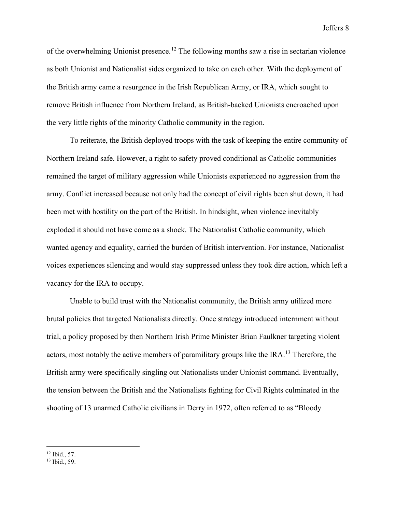of the overwhelming Unionist presence.<sup>[12](#page-8-0)</sup> The following months saw a rise in sectarian violence as both Unionist and Nationalist sides organized to take on each other. With the deployment of the British army came a resurgence in the Irish Republican Army, or IRA, which sought to remove British influence from Northern Ireland, as British-backed Unionists encroached upon the very little rights of the minority Catholic community in the region.

To reiterate, the British deployed troops with the task of keeping the entire community of Northern Ireland safe. However, a right to safety proved conditional as Catholic communities remained the target of military aggression while Unionists experienced no aggression from the army. Conflict increased because not only had the concept of civil rights been shut down, it had been met with hostility on the part of the British. In hindsight, when violence inevitably exploded it should not have come as a shock. The Nationalist Catholic community, which wanted agency and equality, carried the burden of British intervention. For instance, Nationalist voices experiences silencing and would stay suppressed unless they took dire action, which left a vacancy for the IRA to occupy.

Unable to build trust with the Nationalist community, the British army utilized more brutal policies that targeted Nationalists directly. Once strategy introduced internment without trial, a policy proposed by then Northern Irish Prime Minister Brian Faulkner targeting violent actors, most notably the active members of paramilitary groups like the IRA.<sup>[13](#page-8-1)</sup> Therefore, the British army were specifically singling out Nationalists under Unionist command. Eventually, the tension between the British and the Nationalists fighting for Civil Rights culminated in the shooting of 13 unarmed Catholic civilians in Derry in 1972, often referred to as "Bloody

<span id="page-8-0"></span><sup>12</sup> Ibid., 57.

<span id="page-8-1"></span><sup>13</sup> Ibid., 59.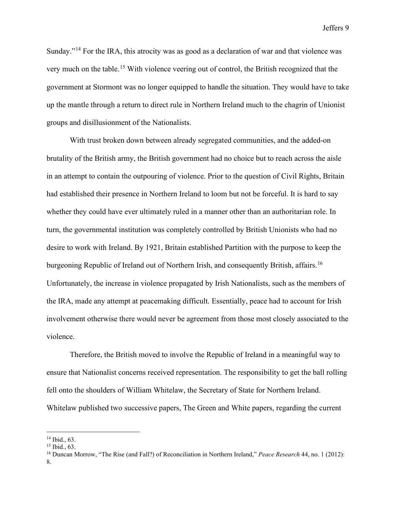Sunday."<sup>[14](#page-9-0)</sup> For the IRA, this atrocity was as good as a declaration of war and that violence was very much on the table. [15](#page-9-1) With violence veering out of control, the British recognized that the government at Stormont was no longer equipped to handle the situation. They would have to take up the mantle through a return to direct rule in Northern Ireland much to the chagrin of Unionist groups and disillusionment of the Nationalists.

With trust broken down between already segregated communities, and the added-on brutality of the British army, the British government had no choice but to reach across the aisle in an attempt to contain the outpouring of violence. Prior to the question of Civil Rights, Britain had established their presence in Northern Ireland to loom but not be forceful. It is hard to say whether they could have ever ultimately ruled in a manner other than an authoritarian role. In turn, the governmental institution was completely controlled by British Unionists who had no desire to work with Ireland. By 1921, Britain established Partition with the purpose to keep the burgeoning Republic of Ireland out of Northern Irish, and consequently British, affairs.<sup>[16](#page-9-2)</sup> Unfortunately, the increase in violence propagated by Irish Nationalists, such as the members of the IRA, made any attempt at peacemaking difficult. Essentially, peace had to account for Irish involvement otherwise there would never be agreement from those most closely associated to the violence.

Therefore, the British moved to involve the Republic of Ireland in a meaningful way to ensure that Nationalist concerns received representation. The responsibility to get the ball rolling fell onto the shoulders of William Whitelaw, the Secretary of State for Northern Ireland. Whitelaw published two successive papers, The Green and White papers, regarding the current

<span id="page-9-0"></span><sup>14</sup> Ibid., 63.

<span id="page-9-1"></span><sup>15</sup> Ibid., 63.

<span id="page-9-2"></span><sup>16</sup> Duncan Morrow, "The Rise (and Fall?) of Reconciliation in Northern Ireland," *Peace Research* 44, no. 1 (2012): 8.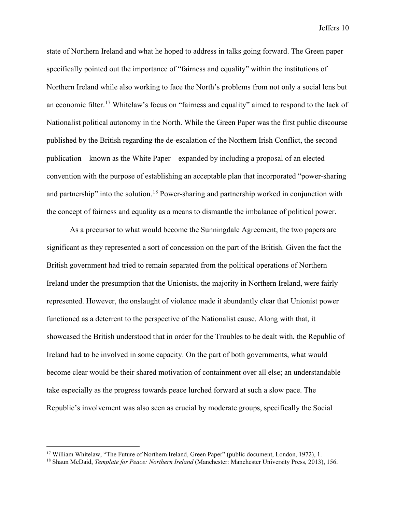state of Northern Ireland and what he hoped to address in talks going forward. The Green paper specifically pointed out the importance of "fairness and equality" within the institutions of Northern Ireland while also working to face the North's problems from not only a social lens but an economic filter.<sup>[17](#page-10-0)</sup> Whitelaw's focus on "fairness and equality" aimed to respond to the lack of Nationalist political autonomy in the North. While the Green Paper was the first public discourse published by the British regarding the de-escalation of the Northern Irish Conflict, the second publication—known as the White Paper—expanded by including a proposal of an elected convention with the purpose of establishing an acceptable plan that incorporated "power-sharing and partnership" into the solution.<sup>[18](#page-10-1)</sup> Power-sharing and partnership worked in conjunction with the concept of fairness and equality as a means to dismantle the imbalance of political power.

As a precursor to what would become the Sunningdale Agreement, the two papers are significant as they represented a sort of concession on the part of the British. Given the fact the British government had tried to remain separated from the political operations of Northern Ireland under the presumption that the Unionists, the majority in Northern Ireland, were fairly represented. However, the onslaught of violence made it abundantly clear that Unionist power functioned as a deterrent to the perspective of the Nationalist cause. Along with that, it showcased the British understood that in order for the Troubles to be dealt with, the Republic of Ireland had to be involved in some capacity. On the part of both governments, what would become clear would be their shared motivation of containment over all else; an understandable take especially as the progress towards peace lurched forward at such a slow pace. The Republic's involvement was also seen as crucial by moderate groups, specifically the Social

<span id="page-10-0"></span><sup>&</sup>lt;sup>17</sup> William Whitelaw, "The Future of Northern Ireland, Green Paper" (public document, London, 1972), 1.

<span id="page-10-1"></span><sup>18</sup> Shaun McDaid, *Template for Peace: Northern Ireland* (Manchester: Manchester University Press, 2013), 156.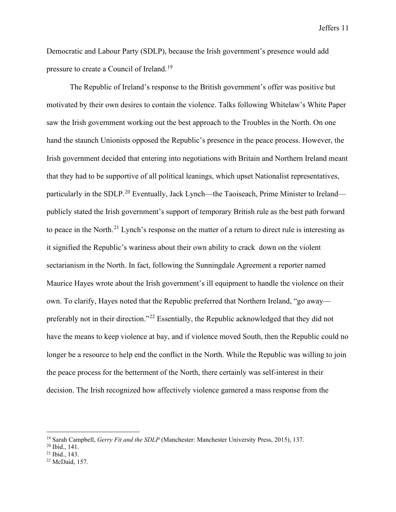Democratic and Labour Party (SDLP), because the Irish government's presence would add pressure to create a Council of Ireland.<sup>[19](#page-11-0)</sup>

The Republic of Ireland's response to the British government's offer was positive but motivated by their own desires to contain the violence. Talks following Whitelaw's White Paper saw the Irish government working out the best approach to the Troubles in the North. On one hand the staunch Unionists opposed the Republic's presence in the peace process. However, the Irish government decided that entering into negotiations with Britain and Northern Ireland meant that they had to be supportive of all political leanings, which upset Nationalist representatives, particularly in the SDLP.<sup>[20](#page-11-1)</sup> Eventually, Jack Lynch—the Taoiseach, Prime Minister to Ireland publicly stated the Irish government's support of temporary British rule as the best path forward to peace in the North.<sup>[21](#page-11-2)</sup> Lynch's response on the matter of a return to direct rule is interesting as it signified the Republic's wariness about their own ability to crack down on the violent sectarianism in the North. In fact, following the Sunningdale Agreement a reporter named Maurice Hayes wrote about the Irish government's ill equipment to handle the violence on their own. To clarify, Hayes noted that the Republic preferred that Northern Ireland, "go away preferably not in their direction."[22](#page-11-3) Essentially, the Republic acknowledged that they did not have the means to keep violence at bay, and if violence moved South, then the Republic could no longer be a resource to help end the conflict in the North. While the Republic was willing to join the peace process for the betterment of the North, there certainly was self-interest in their decision. The Irish recognized how affectively violence garnered a mass response from the

<span id="page-11-0"></span><sup>19</sup> Sarah Campbell, *Gerry Fit and the SDLP* (Manchester: Manchester University Press, 2015), 137.

<span id="page-11-1"></span><sup>20</sup> Ibid., 141.

<span id="page-11-2"></span><sup>21</sup> Ibid., 143.

<span id="page-11-3"></span><sup>22</sup> McDaid, 157.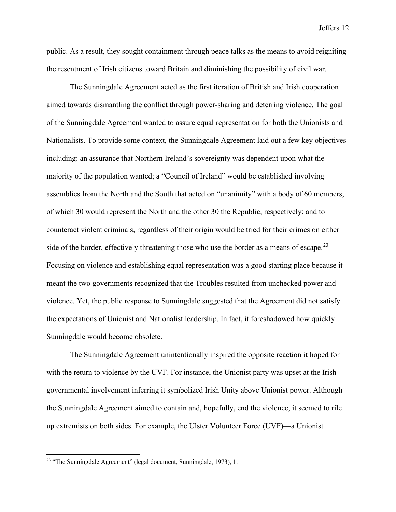public. As a result, they sought containment through peace talks as the means to avoid reigniting the resentment of Irish citizens toward Britain and diminishing the possibility of civil war.

The Sunningdale Agreement acted as the first iteration of British and Irish cooperation aimed towards dismantling the conflict through power-sharing and deterring violence. The goal of the Sunningdale Agreement wanted to assure equal representation for both the Unionists and Nationalists. To provide some context, the Sunningdale Agreement laid out a few key objectives including: an assurance that Northern Ireland's sovereignty was dependent upon what the majority of the population wanted; a "Council of Ireland" would be established involving assemblies from the North and the South that acted on "unanimity" with a body of 60 members, of which 30 would represent the North and the other 30 the Republic, respectively; and to counteract violent criminals, regardless of their origin would be tried for their crimes on either side of the border, effectively threatening those who use the border as a means of escape.<sup>[23](#page-12-0)</sup> Focusing on violence and establishing equal representation was a good starting place because it meant the two governments recognized that the Troubles resulted from unchecked power and violence. Yet, the public response to Sunningdale suggested that the Agreement did not satisfy the expectations of Unionist and Nationalist leadership. In fact, it foreshadowed how quickly Sunningdale would become obsolete.

The Sunningdale Agreement unintentionally inspired the opposite reaction it hoped for with the return to violence by the UVF. For instance, the Unionist party was upset at the Irish governmental involvement inferring it symbolized Irish Unity above Unionist power. Although the Sunningdale Agreement aimed to contain and, hopefully, end the violence, it seemed to rile up extremists on both sides. For example, the Ulster Volunteer Force (UVF)—a Unionist

<span id="page-12-0"></span><sup>23</sup> "The Sunningdale Agreement" (legal document, Sunningdale, 1973), 1.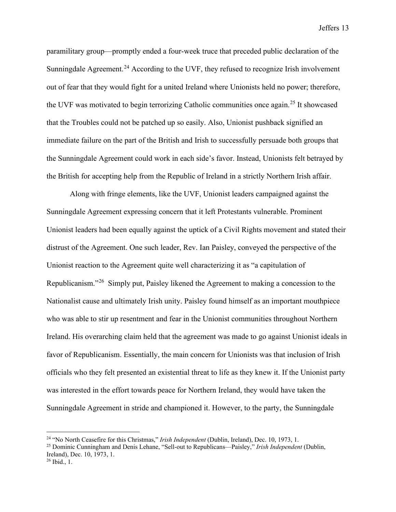paramilitary group—promptly ended a four-week truce that preceded public declaration of the Sunningdale Agreement.<sup>[24](#page-13-0)</sup> According to the UVF, they refused to recognize Irish involvement out of fear that they would fight for a united Ireland where Unionists held no power; therefore, the UVF was motivated to begin terrorizing Catholic communities once again.[25](#page-13-1) It showcased that the Troubles could not be patched up so easily. Also, Unionist pushback signified an immediate failure on the part of the British and Irish to successfully persuade both groups that the Sunningdale Agreement could work in each side's favor. Instead, Unionists felt betrayed by the British for accepting help from the Republic of Ireland in a strictly Northern Irish affair.

Along with fringe elements, like the UVF, Unionist leaders campaigned against the Sunningdale Agreement expressing concern that it left Protestants vulnerable. Prominent Unionist leaders had been equally against the uptick of a Civil Rights movement and stated their distrust of the Agreement. One such leader, Rev. Ian Paisley, conveyed the perspective of the Unionist reaction to the Agreement quite well characterizing it as "a capitulation of Republicanism."[26](#page-13-2) Simply put, Paisley likened the Agreement to making a concession to the Nationalist cause and ultimately Irish unity. Paisley found himself as an important mouthpiece who was able to stir up resentment and fear in the Unionist communities throughout Northern Ireland. His overarching claim held that the agreement was made to go against Unionist ideals in favor of Republicanism. Essentially, the main concern for Unionists was that inclusion of Irish officials who they felt presented an existential threat to life as they knew it. If the Unionist party was interested in the effort towards peace for Northern Ireland, they would have taken the Sunningdale Agreement in stride and championed it. However, to the party, the Sunningdale

<span id="page-13-0"></span><sup>24</sup> "No North Ceasefire for this Christmas," *Irish Independent* (Dublin, Ireland), Dec. 10, 1973, 1.

<span id="page-13-1"></span><sup>25</sup> Dominic Cunningham and Denis Lehane, "Sell-out to Republicans—Paisley," *Irish Independent* (Dublin, Ireland), Dec. 10, 1973, 1.

<span id="page-13-2"></span> $26$  Ibid., 1.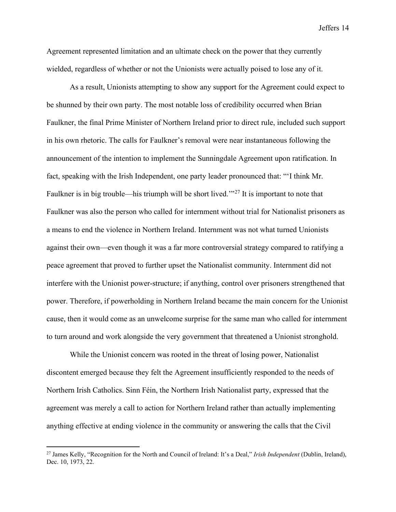Agreement represented limitation and an ultimate check on the power that they currently wielded, regardless of whether or not the Unionists were actually poised to lose any of it.

As a result, Unionists attempting to show any support for the Agreement could expect to be shunned by their own party. The most notable loss of credibility occurred when Brian Faulkner, the final Prime Minister of Northern Ireland prior to direct rule, included such support in his own rhetoric. The calls for Faulkner's removal were near instantaneous following the announcement of the intention to implement the Sunningdale Agreement upon ratification. In fact, speaking with the Irish Independent, one party leader pronounced that: "'I think Mr. Faulkner is in big trouble—his triumph will be short lived."<sup>[27](#page-14-0)</sup> It is important to note that Faulkner was also the person who called for internment without trial for Nationalist prisoners as a means to end the violence in Northern Ireland. Internment was not what turned Unionists against their own—even though it was a far more controversial strategy compared to ratifying a peace agreement that proved to further upset the Nationalist community. Internment did not interfere with the Unionist power-structure; if anything, control over prisoners strengthened that power. Therefore, if powerholding in Northern Ireland became the main concern for the Unionist cause, then it would come as an unwelcome surprise for the same man who called for internment to turn around and work alongside the very government that threatened a Unionist stronghold.

While the Unionist concern was rooted in the threat of losing power, Nationalist discontent emerged because they felt the Agreement insufficiently responded to the needs of Northern Irish Catholics. Sinn Féin, the Northern Irish Nationalist party, expressed that the agreement was merely a call to action for Northern Ireland rather than actually implementing anything effective at ending violence in the community or answering the calls that the Civil

<span id="page-14-0"></span><sup>27</sup> James Kelly, "Recognition for the North and Council of Ireland: It's a Deal," *Irish Independent* (Dublin, Ireland), Dec. 10, 1973, 22.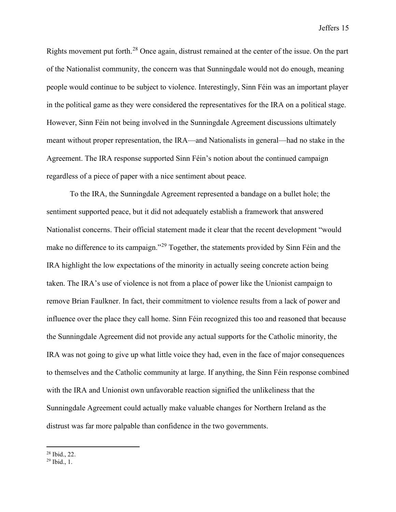Rights movement put forth.[28](#page-15-0) Once again, distrust remained at the center of the issue. On the part of the Nationalist community, the concern was that Sunningdale would not do enough, meaning people would continue to be subject to violence. Interestingly, Sinn Féin was an important player in the political game as they were considered the representatives for the IRA on a political stage. However, Sinn Féin not being involved in the Sunningdale Agreement discussions ultimately meant without proper representation, the IRA—and Nationalists in general—had no stake in the Agreement. The IRA response supported Sinn Féin's notion about the continued campaign regardless of a piece of paper with a nice sentiment about peace.

To the IRA, the Sunningdale Agreement represented a bandage on a bullet hole; the sentiment supported peace, but it did not adequately establish a framework that answered Nationalist concerns. Their official statement made it clear that the recent development "would make no difference to its campaign."<sup>[29](#page-15-1)</sup> Together, the statements provided by Sinn Féin and the IRA highlight the low expectations of the minority in actually seeing concrete action being taken. The IRA's use of violence is not from a place of power like the Unionist campaign to remove Brian Faulkner. In fact, their commitment to violence results from a lack of power and influence over the place they call home. Sinn Féin recognized this too and reasoned that because the Sunningdale Agreement did not provide any actual supports for the Catholic minority, the IRA was not going to give up what little voice they had, even in the face of major consequences to themselves and the Catholic community at large. If anything, the Sinn Féin response combined with the IRA and Unionist own unfavorable reaction signified the unlikeliness that the Sunningdale Agreement could actually make valuable changes for Northern Ireland as the distrust was far more palpable than confidence in the two governments.

<sup>28</sup> Ibid., 22.

<span id="page-15-1"></span><span id="page-15-0"></span><sup>29</sup> Ibid., 1.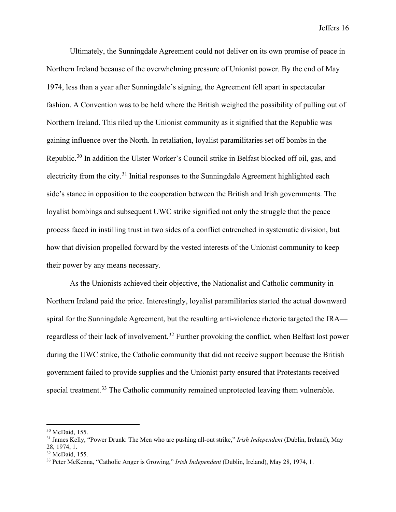Ultimately, the Sunningdale Agreement could not deliver on its own promise of peace in Northern Ireland because of the overwhelming pressure of Unionist power. By the end of May 1974, less than a year after Sunningdale's signing, the Agreement fell apart in spectacular fashion. A Convention was to be held where the British weighed the possibility of pulling out of Northern Ireland. This riled up the Unionist community as it signified that the Republic was gaining influence over the North. In retaliation, loyalist paramilitaries set off bombs in the Republic.<sup>[30](#page-16-0)</sup> In addition the Ulster Worker's Council strike in Belfast blocked off oil, gas, and electricity from the city.<sup>[31](#page-16-1)</sup> Initial responses to the Sunningdale Agreement highlighted each side's stance in opposition to the cooperation between the British and Irish governments. The loyalist bombings and subsequent UWC strike signified not only the struggle that the peace process faced in instilling trust in two sides of a conflict entrenched in systematic division, but how that division propelled forward by the vested interests of the Unionist community to keep their power by any means necessary.

As the Unionists achieved their objective, the Nationalist and Catholic community in Northern Ireland paid the price. Interestingly, loyalist paramilitaries started the actual downward spiral for the Sunningdale Agreement, but the resulting anti-violence rhetoric targeted the IRA— regardless of their lack of involvement.<sup>[32](#page-16-2)</sup> Further provoking the conflict, when Belfast lost power during the UWC strike, the Catholic community that did not receive support because the British government failed to provide supplies and the Unionist party ensured that Protestants received special treatment.<sup>[33](#page-16-3)</sup> The Catholic community remained unprotected leaving them vulnerable.

<span id="page-16-0"></span><sup>30</sup> McDaid, 155.

<span id="page-16-1"></span><sup>31</sup> James Kelly, "Power Drunk: The Men who are pushing all-out strike," *Irish Independent* (Dublin, Ireland), May 28, 1974, 1.

<span id="page-16-2"></span><sup>32</sup> McDaid, 155.

<span id="page-16-3"></span><sup>33</sup> Peter McKenna, "Catholic Anger is Growing," *Irish Independent* (Dublin, Ireland), May 28, 1974, 1.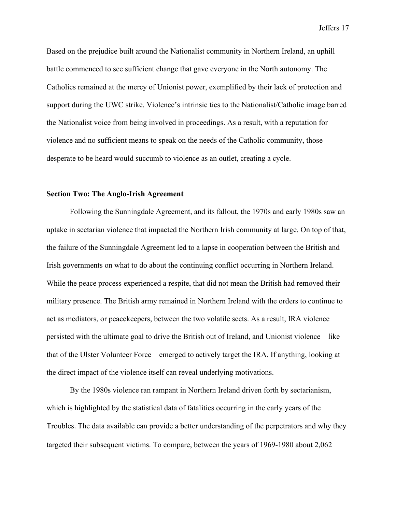Based on the prejudice built around the Nationalist community in Northern Ireland, an uphill battle commenced to see sufficient change that gave everyone in the North autonomy. The Catholics remained at the mercy of Unionist power, exemplified by their lack of protection and support during the UWC strike. Violence's intrinsic ties to the Nationalist/Catholic image barred the Nationalist voice from being involved in proceedings. As a result, with a reputation for violence and no sufficient means to speak on the needs of the Catholic community, those desperate to be heard would succumb to violence as an outlet, creating a cycle.

#### **Section Two: The Anglo-Irish Agreement**

Following the Sunningdale Agreement, and its fallout, the 1970s and early 1980s saw an uptake in sectarian violence that impacted the Northern Irish community at large. On top of that, the failure of the Sunningdale Agreement led to a lapse in cooperation between the British and Irish governments on what to do about the continuing conflict occurring in Northern Ireland. While the peace process experienced a respite, that did not mean the British had removed their military presence. The British army remained in Northern Ireland with the orders to continue to act as mediators, or peacekeepers, between the two volatile sects. As a result, IRA violence persisted with the ultimate goal to drive the British out of Ireland, and Unionist violence—like that of the Ulster Volunteer Force—emerged to actively target the IRA. If anything, looking at the direct impact of the violence itself can reveal underlying motivations.

By the 1980s violence ran rampant in Northern Ireland driven forth by sectarianism, which is highlighted by the statistical data of fatalities occurring in the early years of the Troubles. The data available can provide a better understanding of the perpetrators and why they targeted their subsequent victims. To compare, between the years of 1969-1980 about 2,062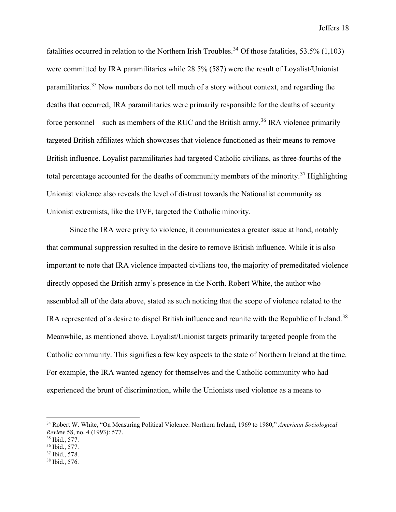fatalities occurred in relation to the Northern Irish Troubles.<sup>[34](#page-18-0)</sup> Of those fatalities, 53.5% (1,103) were committed by IRA paramilitaries while 28.5% (587) were the result of Loyalist/Unionist paramilitaries.<sup>[35](#page-18-1)</sup> Now numbers do not tell much of a story without context, and regarding the deaths that occurred, IRA paramilitaries were primarily responsible for the deaths of security force personnel—such as members of the RUC and the British army.<sup>[36](#page-18-2)</sup> IRA violence primarily targeted British affiliates which showcases that violence functioned as their means to remove British influence. Loyalist paramilitaries had targeted Catholic civilians, as three-fourths of the total percentage accounted for the deaths of community members of the minority.<sup>[37](#page-18-3)</sup> Highlighting Unionist violence also reveals the level of distrust towards the Nationalist community as Unionist extremists, like the UVF, targeted the Catholic minority.

Since the IRA were privy to violence, it communicates a greater issue at hand, notably that communal suppression resulted in the desire to remove British influence. While it is also important to note that IRA violence impacted civilians too, the majority of premeditated violence directly opposed the British army's presence in the North. Robert White, the author who assembled all of the data above, stated as such noticing that the scope of violence related to the IRA represented of a desire to dispel British influence and reunite with the Republic of Ireland.<sup>[38](#page-18-4)</sup> Meanwhile, as mentioned above, Loyalist/Unionist targets primarily targeted people from the Catholic community. This signifies a few key aspects to the state of Northern Ireland at the time. For example, the IRA wanted agency for themselves and the Catholic community who had experienced the brunt of discrimination, while the Unionists used violence as a means to

<span id="page-18-0"></span><sup>34</sup> Robert W. White, "On Measuring Political Violence: Northern Ireland, 1969 to 1980," *American Sociological Review* 58, no. 4 (1993): 577.

<span id="page-18-1"></span><sup>35</sup> Ibid., 577.

<span id="page-18-2"></span><sup>36</sup> Ibid., 577.

<span id="page-18-3"></span><sup>37</sup> Ibid., 578.

<span id="page-18-4"></span><sup>38</sup> Ibid., 576.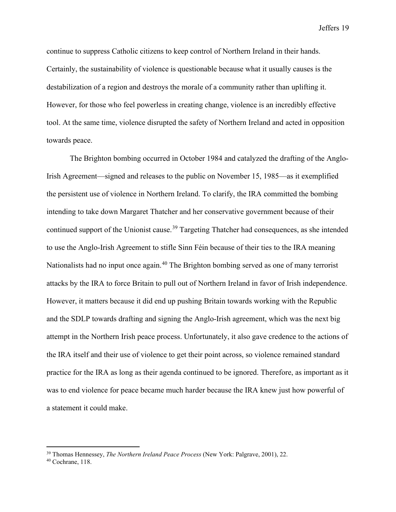continue to suppress Catholic citizens to keep control of Northern Ireland in their hands. Certainly, the sustainability of violence is questionable because what it usually causes is the destabilization of a region and destroys the morale of a community rather than uplifting it. However, for those who feel powerless in creating change, violence is an incredibly effective tool. At the same time, violence disrupted the safety of Northern Ireland and acted in opposition towards peace.

The Brighton bombing occurred in October 1984 and catalyzed the drafting of the Anglo-Irish Agreement—signed and releases to the public on November 15, 1985—as it exemplified the persistent use of violence in Northern Ireland. To clarify, the IRA committed the bombing intending to take down Margaret Thatcher and her conservative government because of their continued support of the Unionist cause.<sup>[39](#page-19-0)</sup> Targeting Thatcher had consequences, as she intended to use the Anglo-Irish Agreement to stifle Sinn Féin because of their ties to the IRA meaning Nationalists had no input once again.<sup>[40](#page-19-1)</sup> The Brighton bombing served as one of many terrorist attacks by the IRA to force Britain to pull out of Northern Ireland in favor of Irish independence. However, it matters because it did end up pushing Britain towards working with the Republic and the SDLP towards drafting and signing the Anglo-Irish agreement, which was the next big attempt in the Northern Irish peace process. Unfortunately, it also gave credence to the actions of the IRA itself and their use of violence to get their point across, so violence remained standard practice for the IRA as long as their agenda continued to be ignored. Therefore, as important as it was to end violence for peace became much harder because the IRA knew just how powerful of a statement it could make.

<span id="page-19-0"></span><sup>39</sup> Thomas Hennessey, *The Northern Ireland Peace Process* (New York: Palgrave, 2001), 22.

<span id="page-19-1"></span><sup>40</sup> Cochrane, 118.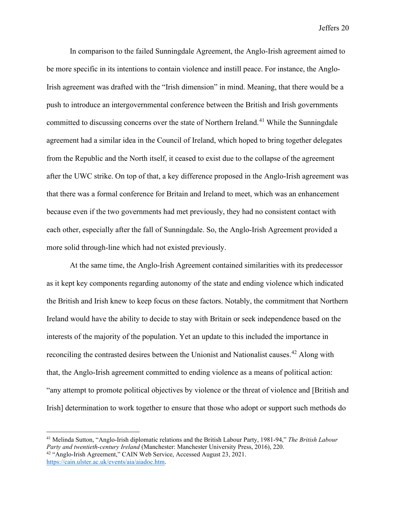In comparison to the failed Sunningdale Agreement, the Anglo-Irish agreement aimed to be more specific in its intentions to contain violence and instill peace. For instance, the Anglo-Irish agreement was drafted with the "Irish dimension" in mind. Meaning, that there would be a push to introduce an intergovernmental conference between the British and Irish governments committed to discussing concerns over the state of Northern Ireland.<sup>[41](#page-20-0)</sup> While the Sunningdale agreement had a similar idea in the Council of Ireland, which hoped to bring together delegates from the Republic and the North itself, it ceased to exist due to the collapse of the agreement after the UWC strike. On top of that, a key difference proposed in the Anglo-Irish agreement was that there was a formal conference for Britain and Ireland to meet, which was an enhancement because even if the two governments had met previously, they had no consistent contact with each other, especially after the fall of Sunningdale. So, the Anglo-Irish Agreement provided a more solid through-line which had not existed previously.

At the same time, the Anglo-Irish Agreement contained similarities with its predecessor as it kept key components regarding autonomy of the state and ending violence which indicated the British and Irish knew to keep focus on these factors. Notably, the commitment that Northern Ireland would have the ability to decide to stay with Britain or seek independence based on the interests of the majority of the population. Yet an update to this included the importance in reconciling the contrasted desires between the Unionist and Nationalist causes.<sup>[42](#page-20-1)</sup> Along with that, the Anglo-Irish agreement committed to ending violence as a means of political action: "any attempt to promote political objectives by violence or the threat of violence and [British and Irish] determination to work together to ensure that those who adopt or support such methods do

<span id="page-20-1"></span><span id="page-20-0"></span><sup>41</sup> Melinda Sutton, "Anglo-Irish diplomatic relations and the British Labour Party, 1981-94," *The British Labour Party and twentieth-century Ireland* (Manchester: Manchester University Press, 2016), 220. <sup>42</sup> "Anglo-Irish Agreement," CAIN Web Service, Accessed August 23, 2021. [https://cain.ulster.ac.uk/events/aia/aiadoc.htm.](https://cain.ulster.ac.uk/events/aia/aiadoc.htm)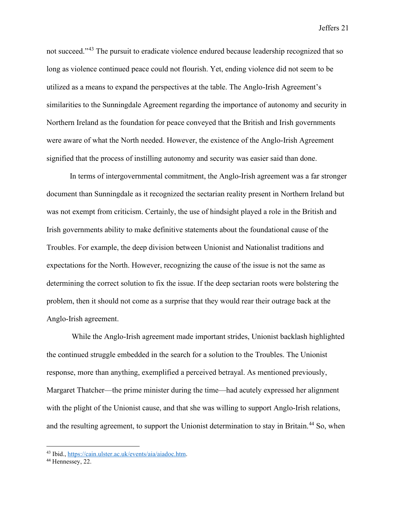not succeed."<sup>[43](#page-21-0)</sup> The pursuit to eradicate violence endured because leadership recognized that so long as violence continued peace could not flourish. Yet, ending violence did not seem to be utilized as a means to expand the perspectives at the table. The Anglo-Irish Agreement's similarities to the Sunningdale Agreement regarding the importance of autonomy and security in Northern Ireland as the foundation for peace conveyed that the British and Irish governments were aware of what the North needed. However, the existence of the Anglo-Irish Agreement signified that the process of instilling autonomy and security was easier said than done.

In terms of intergovernmental commitment, the Anglo-Irish agreement was a far stronger document than Sunningdale as it recognized the sectarian reality present in Northern Ireland but was not exempt from criticism. Certainly, the use of hindsight played a role in the British and Irish governments ability to make definitive statements about the foundational cause of the Troubles. For example, the deep division between Unionist and Nationalist traditions and expectations for the North. However, recognizing the cause of the issue is not the same as determining the correct solution to fix the issue. If the deep sectarian roots were bolstering the problem, then it should not come as a surprise that they would rear their outrage back at the Anglo-Irish agreement.

 While the Anglo-Irish agreement made important strides, Unionist backlash highlighted the continued struggle embedded in the search for a solution to the Troubles. The Unionist response, more than anything, exemplified a perceived betrayal. As mentioned previously, Margaret Thatcher—the prime minister during the time—had acutely expressed her alignment with the plight of the Unionist cause, and that she was willing to support Anglo-Irish relations, and the resulting agreement, to support the Unionist determination to stay in Britain.<sup>[44](#page-21-1)</sup> So, when

<span id="page-21-0"></span><sup>43</sup> Ibid.[, https://cain.ulster.ac.uk/events/aia/aiadoc.htm.](https://cain.ulster.ac.uk/events/aia/aiadoc.htm)

<span id="page-21-1"></span><sup>&</sup>lt;sup>44</sup> Hennessey, 22.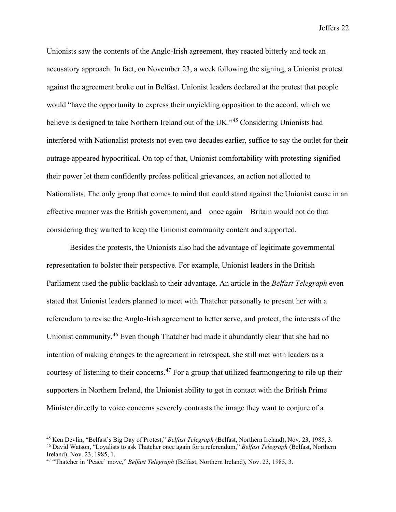Unionists saw the contents of the Anglo-Irish agreement, they reacted bitterly and took an accusatory approach. In fact, on November 23, a week following the signing, a Unionist protest against the agreement broke out in Belfast. Unionist leaders declared at the protest that people would "have the opportunity to express their unyielding opposition to the accord, which we believe is designed to take Northern Ireland out of the UK."<sup>[45](#page-22-0)</sup> Considering Unionists had interfered with Nationalist protests not even two decades earlier, suffice to say the outlet for their outrage appeared hypocritical. On top of that, Unionist comfortability with protesting signified their power let them confidently profess political grievances, an action not allotted to Nationalists. The only group that comes to mind that could stand against the Unionist cause in an effective manner was the British government, and—once again—Britain would not do that considering they wanted to keep the Unionist community content and supported.

Besides the protests, the Unionists also had the advantage of legitimate governmental representation to bolster their perspective. For example, Unionist leaders in the British Parliament used the public backlash to their advantage. An article in the *Belfast Telegraph* even stated that Unionist leaders planned to meet with Thatcher personally to present her with a referendum to revise the Anglo-Irish agreement to better serve, and protect, the interests of the Unionist community.<sup>[46](#page-22-1)</sup> Even though Thatcher had made it abundantly clear that she had no intention of making changes to the agreement in retrospect, she still met with leaders as a courtesy of listening to their concerns.<sup>[47](#page-22-2)</sup> For a group that utilized fearmongering to rile up their supporters in Northern Ireland, the Unionist ability to get in contact with the British Prime Minister directly to voice concerns severely contrasts the image they want to conjure of a

<span id="page-22-0"></span><sup>45</sup> Ken Devlin, "Belfast's Big Day of Protest," *Belfast Telegraph* (Belfast, Northern Ireland), Nov. 23, 1985, 3.

<span id="page-22-1"></span><sup>46</sup> David Watson, "Loyalists to ask Thatcher once again for a referendum," *Belfast Telegraph* (Belfast, Northern Ireland), Nov. 23, 1985, 1.

<span id="page-22-2"></span><sup>47</sup> "Thatcher in 'Peace' move," *Belfast Telegraph* (Belfast, Northern Ireland), Nov. 23, 1985, 3.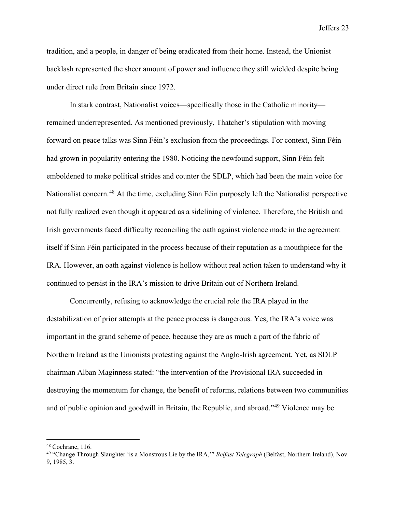tradition, and a people, in danger of being eradicated from their home. Instead, the Unionist backlash represented the sheer amount of power and influence they still wielded despite being under direct rule from Britain since 1972.

In stark contrast, Nationalist voices—specifically those in the Catholic minority remained underrepresented. As mentioned previously, Thatcher's stipulation with moving forward on peace talks was Sinn Féin's exclusion from the proceedings. For context, Sinn Féin had grown in popularity entering the 1980. Noticing the newfound support, Sinn Féin felt emboldened to make political strides and counter the SDLP, which had been the main voice for Nationalist concern.<sup>[48](#page-23-0)</sup> At the time, excluding Sinn Féin purposely left the Nationalist perspective not fully realized even though it appeared as a sidelining of violence. Therefore, the British and Irish governments faced difficulty reconciling the oath against violence made in the agreement itself if Sinn Féin participated in the process because of their reputation as a mouthpiece for the IRA. However, an oath against violence is hollow without real action taken to understand why it continued to persist in the IRA's mission to drive Britain out of Northern Ireland.

Concurrently, refusing to acknowledge the crucial role the IRA played in the destabilization of prior attempts at the peace process is dangerous. Yes, the IRA's voice was important in the grand scheme of peace, because they are as much a part of the fabric of Northern Ireland as the Unionists protesting against the Anglo-Irish agreement. Yet, as SDLP chairman Alban Maginness stated: "the intervention of the Provisional IRA succeeded in destroying the momentum for change, the benefit of reforms, relations between two communities and of public opinion and goodwill in Britain, the Republic, and abroad."[49](#page-23-1) Violence may be

<span id="page-23-0"></span><sup>48</sup> Cochrane, 116.

<span id="page-23-1"></span><sup>49</sup> "Change Through Slaughter 'is a Monstrous Lie by the IRA,'" *Belfast Telegraph* (Belfast, Northern Ireland), Nov. 9, 1985, 3.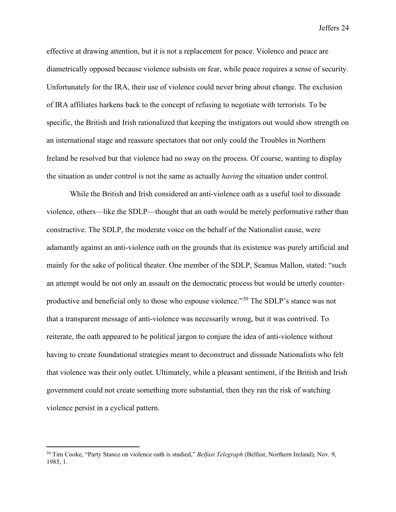effective at drawing attention, but it is not a replacement for peace. Violence and peace are diametrically opposed because violence subsists on fear, while peace requires a sense of security. Unfortunately for the IRA, their use of violence could never bring about change. The exclusion of IRA affiliates harkens back to the concept of refusing to negotiate with terrorists. To be specific, the British and Irish rationalized that keeping the instigators out would show strength on an international stage and reassure spectators that not only could the Troubles in Northern Ireland be resolved but that violence had no sway on the process. Of course, wanting to display the situation as under control is not the same as actually *having* the situation under control.

While the British and Irish considered an anti-violence oath as a useful tool to dissuade violence, others—like the SDLP—thought that an oath would be merely performative rather than constructive. The SDLP, the moderate voice on the behalf of the Nationalist cause, were adamantly against an anti-violence oath on the grounds that its existence was purely artificial and mainly for the sake of political theater. One member of the SDLP, Seamus Mallon, stated: "such an attempt would be not only an assault on the democratic process but would be utterly counterproductive and beneficial only to those who espouse violence."[50](#page-24-0) The SDLP's stance was not that a transparent message of anti-violence was necessarily wrong, but it was contrived. To reiterate, the oath appeared to be political jargon to conjure the idea of anti-violence without having to create foundational strategies meant to deconstruct and dissuade Nationalists who felt that violence was their only outlet. Ultimately, while a pleasant sentiment, if the British and Irish government could not create something more substantial, then they ran the risk of watching violence persist in a cyclical pattern.

<span id="page-24-0"></span><sup>50</sup> Tim Cooke, "Party Stance on violence oath is studied," *Belfast Telegraph* (Belfast, Northern Ireland), Nov. 9, 1985, 1.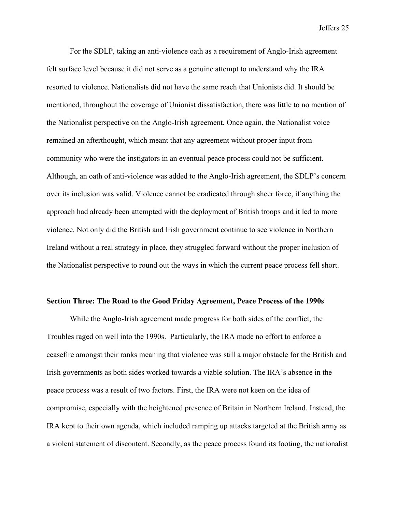For the SDLP, taking an anti-violence oath as a requirement of Anglo-Irish agreement felt surface level because it did not serve as a genuine attempt to understand why the IRA resorted to violence. Nationalists did not have the same reach that Unionists did. It should be mentioned, throughout the coverage of Unionist dissatisfaction, there was little to no mention of the Nationalist perspective on the Anglo-Irish agreement. Once again, the Nationalist voice remained an afterthought, which meant that any agreement without proper input from community who were the instigators in an eventual peace process could not be sufficient. Although, an oath of anti-violence was added to the Anglo-Irish agreement, the SDLP's concern over its inclusion was valid. Violence cannot be eradicated through sheer force, if anything the approach had already been attempted with the deployment of British troops and it led to more violence. Not only did the British and Irish government continue to see violence in Northern Ireland without a real strategy in place, they struggled forward without the proper inclusion of the Nationalist perspective to round out the ways in which the current peace process fell short.

#### **Section Three: The Road to the Good Friday Agreement, Peace Process of the 1990s**

While the Anglo-Irish agreement made progress for both sides of the conflict, the Troubles raged on well into the 1990s. Particularly, the IRA made no effort to enforce a ceasefire amongst their ranks meaning that violence was still a major obstacle for the British and Irish governments as both sides worked towards a viable solution. The IRA's absence in the peace process was a result of two factors. First, the IRA were not keen on the idea of compromise, especially with the heightened presence of Britain in Northern Ireland. Instead, the IRA kept to their own agenda, which included ramping up attacks targeted at the British army as a violent statement of discontent. Secondly, as the peace process found its footing, the nationalist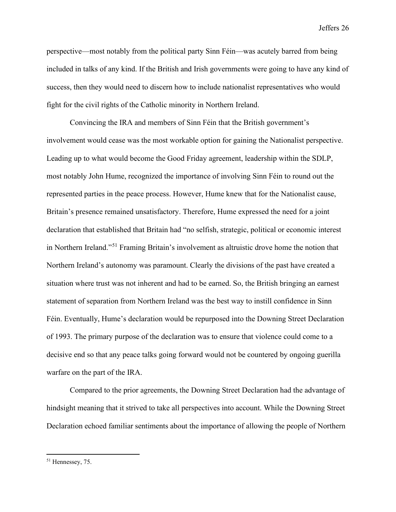perspective—most notably from the political party Sinn Féin—was acutely barred from being included in talks of any kind. If the British and Irish governments were going to have any kind of success, then they would need to discern how to include nationalist representatives who would fight for the civil rights of the Catholic minority in Northern Ireland.

Convincing the IRA and members of Sinn Féin that the British government's involvement would cease was the most workable option for gaining the Nationalist perspective. Leading up to what would become the Good Friday agreement, leadership within the SDLP, most notably John Hume, recognized the importance of involving Sinn Féin to round out the represented parties in the peace process. However, Hume knew that for the Nationalist cause, Britain's presence remained unsatisfactory. Therefore, Hume expressed the need for a joint declaration that established that Britain had "no selfish, strategic, political or economic interest in Northern Ireland."[51](#page-26-0) Framing Britain's involvement as altruistic drove home the notion that Northern Ireland's autonomy was paramount. Clearly the divisions of the past have created a situation where trust was not inherent and had to be earned. So, the British bringing an earnest statement of separation from Northern Ireland was the best way to instill confidence in Sinn Féin. Eventually, Hume's declaration would be repurposed into the Downing Street Declaration of 1993. The primary purpose of the declaration was to ensure that violence could come to a decisive end so that any peace talks going forward would not be countered by ongoing guerilla warfare on the part of the IRA.

Compared to the prior agreements, the Downing Street Declaration had the advantage of hindsight meaning that it strived to take all perspectives into account. While the Downing Street Declaration echoed familiar sentiments about the importance of allowing the people of Northern

<span id="page-26-0"></span><sup>51</sup> Hennessey, 75.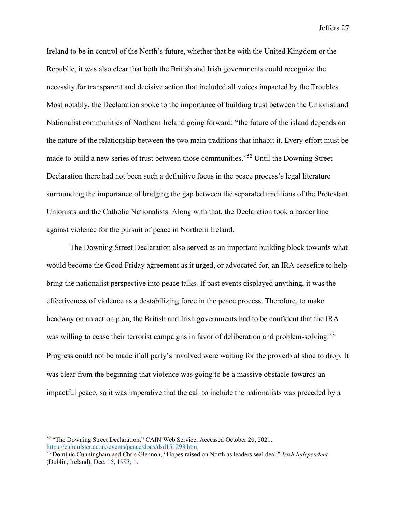Ireland to be in control of the North's future, whether that be with the United Kingdom or the Republic, it was also clear that both the British and Irish governments could recognize the necessity for transparent and decisive action that included all voices impacted by the Troubles. Most notably, the Declaration spoke to the importance of building trust between the Unionist and Nationalist communities of Northern Ireland going forward: "the future of the island depends on the nature of the relationship between the two main traditions that inhabit it. Every effort must be made to build a new series of trust between those communities."[52](#page-27-0) Until the Downing Street Declaration there had not been such a definitive focus in the peace process's legal literature surrounding the importance of bridging the gap between the separated traditions of the Protestant Unionists and the Catholic Nationalists. Along with that, the Declaration took a harder line against violence for the pursuit of peace in Northern Ireland.

 The Downing Street Declaration also served as an important building block towards what would become the Good Friday agreement as it urged, or advocated for, an IRA ceasefire to help bring the nationalist perspective into peace talks. If past events displayed anything, it was the effectiveness of violence as a destabilizing force in the peace process. Therefore, to make headway on an action plan, the British and Irish governments had to be confident that the IRA was willing to cease their terrorist campaigns in favor of deliberation and problem-solving.<sup>[53](#page-27-1)</sup> Progress could not be made if all party's involved were waiting for the proverbial shoe to drop. It was clear from the beginning that violence was going to be a massive obstacle towards an impactful peace, so it was imperative that the call to include the nationalists was preceded by a

<span id="page-27-0"></span><sup>52</sup> "The Downing Street Declaration," CAIN Web Service, Accessed October 20, 2021. [https://cain.ulster.ac.uk/events/peace/docs/dsd151293.htm.](https://cain.ulster.ac.uk/events/peace/docs/dsd151293.htm)

<span id="page-27-1"></span><sup>53</sup> Dominic Cunningham and Chris Glennon, "Hopes raised on North as leaders seal deal," *Irish Independent*  (Dublin, Ireland), Dec. 15, 1993, 1.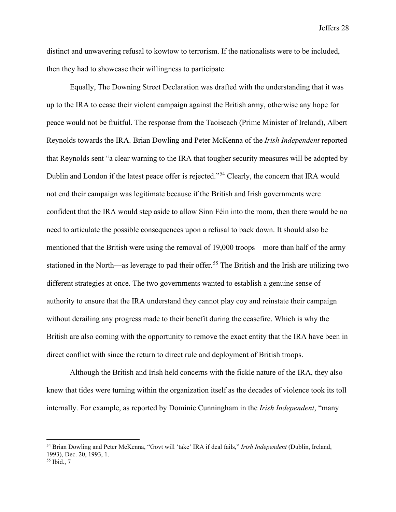distinct and unwavering refusal to kowtow to terrorism. If the nationalists were to be included, then they had to showcase their willingness to participate.

Equally, The Downing Street Declaration was drafted with the understanding that it was up to the IRA to cease their violent campaign against the British army, otherwise any hope for peace would not be fruitful. The response from the Taoiseach (Prime Minister of Ireland), Albert Reynolds towards the IRA. Brian Dowling and Peter McKenna of the *Irish Independent* reported that Reynolds sent "a clear warning to the IRA that tougher security measures will be adopted by Dublin and London if the latest peace offer is rejected."[54](#page-28-0) Clearly, the concern that IRA would not end their campaign was legitimate because if the British and Irish governments were confident that the IRA would step aside to allow Sinn Féin into the room, then there would be no need to articulate the possible consequences upon a refusal to back down. It should also be mentioned that the British were using the removal of 19,000 troops—more than half of the army stationed in the North—as leverage to pad their offer.<sup>[55](#page-28-1)</sup> The British and the Irish are utilizing two different strategies at once. The two governments wanted to establish a genuine sense of authority to ensure that the IRA understand they cannot play coy and reinstate their campaign without derailing any progress made to their benefit during the ceasefire. Which is why the British are also coming with the opportunity to remove the exact entity that the IRA have been in direct conflict with since the return to direct rule and deployment of British troops.

Although the British and Irish held concerns with the fickle nature of the IRA, they also knew that tides were turning within the organization itself as the decades of violence took its toll internally. For example, as reported by Dominic Cunningham in the *Irish Independent*, "many

<span id="page-28-0"></span><sup>54</sup> Brian Dowling and Peter McKenna, "Govt will 'take' IRA if deal fails," *Irish Independent* (Dublin, Ireland, 1993), Dec. 20, 1993, 1.

<span id="page-28-1"></span><sup>55</sup> Ibid., 7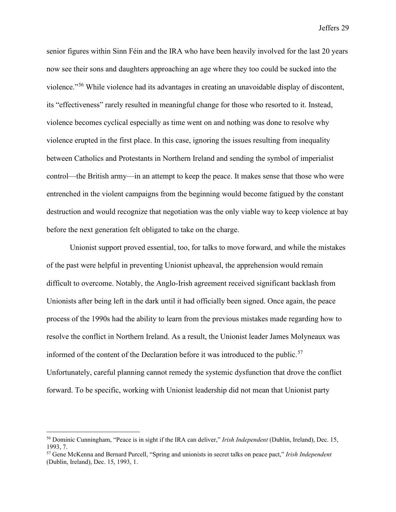senior figures within Sinn Féin and the IRA who have been heavily involved for the last 20 years now see their sons and daughters approaching an age where they too could be sucked into the violence."[56](#page-29-0) While violence had its advantages in creating an unavoidable display of discontent, its "effectiveness" rarely resulted in meaningful change for those who resorted to it. Instead, violence becomes cyclical especially as time went on and nothing was done to resolve why violence erupted in the first place. In this case, ignoring the issues resulting from inequality between Catholics and Protestants in Northern Ireland and sending the symbol of imperialist control—the British army—in an attempt to keep the peace. It makes sense that those who were entrenched in the violent campaigns from the beginning would become fatigued by the constant destruction and would recognize that negotiation was the only viable way to keep violence at bay before the next generation felt obligated to take on the charge.

Unionist support proved essential, too, for talks to move forward, and while the mistakes of the past were helpful in preventing Unionist upheaval, the apprehension would remain difficult to overcome. Notably, the Anglo-Irish agreement received significant backlash from Unionists after being left in the dark until it had officially been signed. Once again, the peace process of the 1990s had the ability to learn from the previous mistakes made regarding how to resolve the conflict in Northern Ireland. As a result, the Unionist leader James Molyneaux was informed of the content of the Declaration before it was introduced to the public.<sup>[57](#page-29-1)</sup> Unfortunately, careful planning cannot remedy the systemic dysfunction that drove the conflict forward. To be specific, working with Unionist leadership did not mean that Unionist party

<span id="page-29-0"></span><sup>56</sup> Dominic Cunningham, "Peace is in sight if the IRA can deliver," *Irish Independent* (Dublin, Ireland), Dec. 15, 1993, 7.

<span id="page-29-1"></span><sup>57</sup> Gene McKenna and Bernard Purcell, "Spring and unionists in secret talks on peace pact," *Irish Independent*  (Dublin, Ireland), Dec. 15, 1993, 1.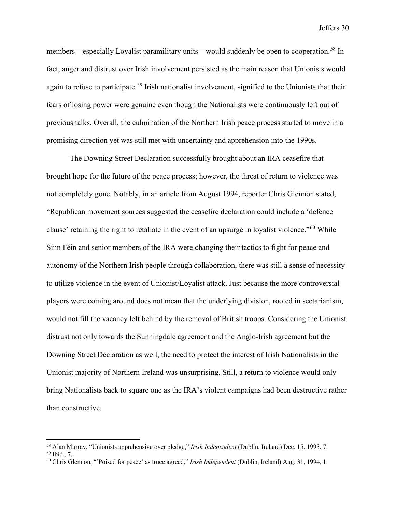members—especially Loyalist paramilitary units—would suddenly be open to cooperation.<sup>[58](#page-30-0)</sup> In fact, anger and distrust over Irish involvement persisted as the main reason that Unionists would again to refuse to participate.<sup>[59](#page-30-1)</sup> Irish nationalist involvement, signified to the Unionists that their fears of losing power were genuine even though the Nationalists were continuously left out of previous talks. Overall, the culmination of the Northern Irish peace process started to move in a promising direction yet was still met with uncertainty and apprehension into the 1990s.

The Downing Street Declaration successfully brought about an IRA ceasefire that brought hope for the future of the peace process; however, the threat of return to violence was not completely gone. Notably, in an article from August 1994, reporter Chris Glennon stated, "Republican movement sources suggested the ceasefire declaration could include a 'defence clause' retaining the right to retaliate in the event of an upsurge in loyalist violence."[60](#page-30-2) While Sinn Féin and senior members of the IRA were changing their tactics to fight for peace and autonomy of the Northern Irish people through collaboration, there was still a sense of necessity to utilize violence in the event of Unionist/Loyalist attack. Just because the more controversial players were coming around does not mean that the underlying division, rooted in sectarianism, would not fill the vacancy left behind by the removal of British troops. Considering the Unionist distrust not only towards the Sunningdale agreement and the Anglo-Irish agreement but the Downing Street Declaration as well, the need to protect the interest of Irish Nationalists in the Unionist majority of Northern Ireland was unsurprising. Still, a return to violence would only bring Nationalists back to square one as the IRA's violent campaigns had been destructive rather than constructive.

<span id="page-30-0"></span><sup>58</sup> Alan Murray, "Unionists apprehensive over pledge," *Irish Independent* (Dublin, Ireland) Dec. 15, 1993, 7. <sup>59</sup> Ibid., 7.

<span id="page-30-2"></span><span id="page-30-1"></span><sup>60</sup> Chris Glennon, "'Poised for peace' as truce agreed," *Irish Independent* (Dublin, Ireland) Aug. 31, 1994, 1.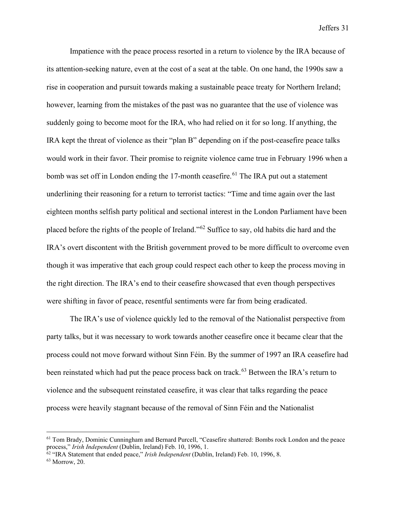Impatience with the peace process resorted in a return to violence by the IRA because of its attention-seeking nature, even at the cost of a seat at the table. On one hand, the 1990s saw a rise in cooperation and pursuit towards making a sustainable peace treaty for Northern Ireland; however, learning from the mistakes of the past was no guarantee that the use of violence was suddenly going to become moot for the IRA, who had relied on it for so long. If anything, the IRA kept the threat of violence as their "plan B" depending on if the post-ceasefire peace talks would work in their favor. Their promise to reignite violence came true in February 1996 when a bomb was set off in London ending the 17-month ceasefire.<sup>[61](#page-31-0)</sup> The IRA put out a statement underlining their reasoning for a return to terrorist tactics: "Time and time again over the last eighteen months selfish party political and sectional interest in the London Parliament have been placed before the rights of the people of Ireland."[62](#page-31-1) Suffice to say, old habits die hard and the IRA's overt discontent with the British government proved to be more difficult to overcome even though it was imperative that each group could respect each other to keep the process moving in the right direction. The IRA's end to their ceasefire showcased that even though perspectives were shifting in favor of peace, resentful sentiments were far from being eradicated.

The IRA's use of violence quickly led to the removal of the Nationalist perspective from party talks, but it was necessary to work towards another ceasefire once it became clear that the process could not move forward without Sinn Féin. By the summer of 1997 an IRA ceasefire had been reinstated which had put the peace process back on track.<sup>[63](#page-31-2)</sup> Between the IRA's return to violence and the subsequent reinstated ceasefire, it was clear that talks regarding the peace process were heavily stagnant because of the removal of Sinn Féin and the Nationalist

<span id="page-31-0"></span><sup>61</sup> Tom Brady, Dominic Cunningham and Bernard Purcell, "Ceasefire shattered: Bombs rock London and the peace process," *Irish Independent* (Dublin, Ireland) Feb. 10, 1996, 1.

<span id="page-31-1"></span><sup>62</sup> "IRA Statement that ended peace," *Irish Independent* (Dublin, Ireland) Feb. 10, 1996, 8.

<span id="page-31-2"></span><sup>63</sup> Morrow, 20.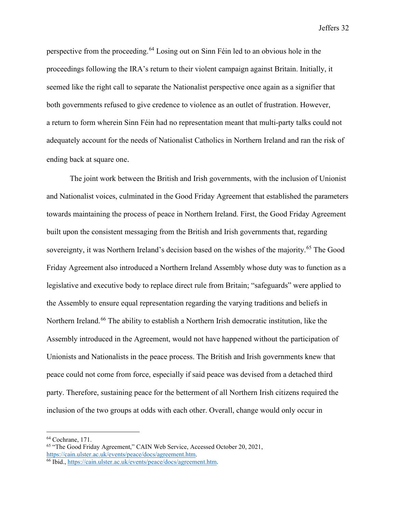perspective from the proceeding.[64](#page-32-0) Losing out on Sinn Féin led to an obvious hole in the proceedings following the IRA's return to their violent campaign against Britain. Initially, it seemed like the right call to separate the Nationalist perspective once again as a signifier that both governments refused to give credence to violence as an outlet of frustration. However, a return to form wherein Sinn Féin had no representation meant that multi-party talks could not adequately account for the needs of Nationalist Catholics in Northern Ireland and ran the risk of ending back at square one.

The joint work between the British and Irish governments, with the inclusion of Unionist and Nationalist voices, culminated in the Good Friday Agreement that established the parameters towards maintaining the process of peace in Northern Ireland. First, the Good Friday Agreement built upon the consistent messaging from the British and Irish governments that, regarding sovereignty, it was Northern Ireland's decision based on the wishes of the majority.<sup>65</sup> The Good Friday Agreement also introduced a Northern Ireland Assembly whose duty was to function as a legislative and executive body to replace direct rule from Britain; "safeguards" were applied to the Assembly to ensure equal representation regarding the varying traditions and beliefs in Northern Ireland.<sup>[66](#page-32-2)</sup> The ability to establish a Northern Irish democratic institution, like the Assembly introduced in the Agreement, would not have happened without the participation of Unionists and Nationalists in the peace process. The British and Irish governments knew that peace could not come from force, especially if said peace was devised from a detached third party. Therefore, sustaining peace for the betterment of all Northern Irish citizens required the inclusion of the two groups at odds with each other. Overall, change would only occur in

<span id="page-32-0"></span><sup>64</sup> Cochrane, 171.

<span id="page-32-1"></span><sup>65</sup> "The Good Friday Agreement," CAIN Web Service, Accessed October 20, 2021, [https://cain.ulster.ac.uk/events/peace/docs/agreement.htm.](https://cain.ulster.ac.uk/events/peace/docs/agreement.htm) 66 Ibid.[, https://cain.ulster.ac.uk/events/peace/docs/agreement.htm.](https://cain.ulster.ac.uk/events/peace/docs/agreement.htm)

<span id="page-32-2"></span>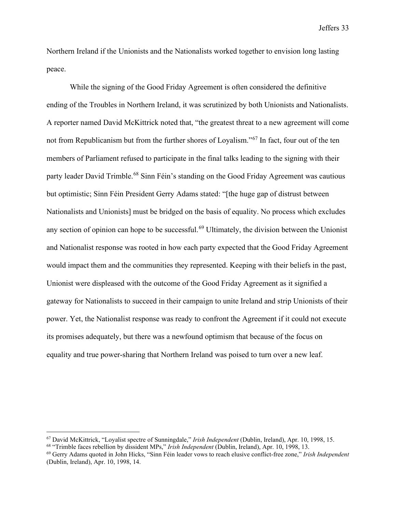Northern Ireland if the Unionists and the Nationalists worked together to envision long lasting peace.

While the signing of the Good Friday Agreement is often considered the definitive ending of the Troubles in Northern Ireland, it was scrutinized by both Unionists and Nationalists. A reporter named David McKittrick noted that, "the greatest threat to a new agreement will come not from Republicanism but from the further shores of Loyalism."<sup>[67](#page-33-0)</sup> In fact, four out of the ten members of Parliament refused to participate in the final talks leading to the signing with their party leader David Trimble.<sup>[68](#page-33-1)</sup> Sinn Féin's standing on the Good Friday Agreement was cautious but optimistic; Sinn Féin President Gerry Adams stated: "[the huge gap of distrust between Nationalists and Unionists] must be bridged on the basis of equality. No process which excludes any section of opinion can hope to be successful.<sup>[69](#page-33-2)</sup> Ultimately, the division between the Unionist and Nationalist response was rooted in how each party expected that the Good Friday Agreement would impact them and the communities they represented. Keeping with their beliefs in the past, Unionist were displeased with the outcome of the Good Friday Agreement as it signified a gateway for Nationalists to succeed in their campaign to unite Ireland and strip Unionists of their power. Yet, the Nationalist response was ready to confront the Agreement if it could not execute its promises adequately, but there was a newfound optimism that because of the focus on equality and true power-sharing that Northern Ireland was poised to turn over a new leaf.

<span id="page-33-0"></span><sup>67</sup> David McKittrick, "Loyalist spectre of Sunningdale," *Irish Independent* (Dublin, Ireland), Apr. 10, 1998, 15.

<span id="page-33-1"></span><sup>68</sup> "Trimble faces rebellion by dissident MPs," *Irish Independent* (Dublin, Ireland), Apr. 10, 1998, 13.

<span id="page-33-2"></span><sup>69</sup> Gerry Adams quoted in John Hicks, "Sinn Féin leader vows to reach elusive conflict-free zone," *Irish Independent*  (Dublin, Ireland), Apr. 10, 1998, 14.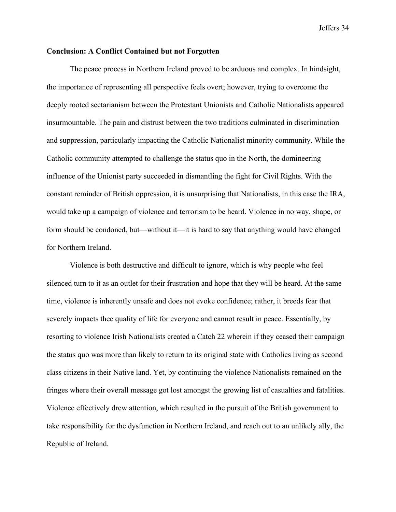#### **Conclusion: A Conflict Contained but not Forgotten**

The peace process in Northern Ireland proved to be arduous and complex. In hindsight, the importance of representing all perspective feels overt; however, trying to overcome the deeply rooted sectarianism between the Protestant Unionists and Catholic Nationalists appeared insurmountable. The pain and distrust between the two traditions culminated in discrimination and suppression, particularly impacting the Catholic Nationalist minority community. While the Catholic community attempted to challenge the status quo in the North, the domineering influence of the Unionist party succeeded in dismantling the fight for Civil Rights. With the constant reminder of British oppression, it is unsurprising that Nationalists, in this case the IRA, would take up a campaign of violence and terrorism to be heard. Violence in no way, shape, or form should be condoned, but—without it—it is hard to say that anything would have changed for Northern Ireland.

Violence is both destructive and difficult to ignore, which is why people who feel silenced turn to it as an outlet for their frustration and hope that they will be heard. At the same time, violence is inherently unsafe and does not evoke confidence; rather, it breeds fear that severely impacts thee quality of life for everyone and cannot result in peace. Essentially, by resorting to violence Irish Nationalists created a Catch 22 wherein if they ceased their campaign the status quo was more than likely to return to its original state with Catholics living as second class citizens in their Native land. Yet, by continuing the violence Nationalists remained on the fringes where their overall message got lost amongst the growing list of casualties and fatalities. Violence effectively drew attention, which resulted in the pursuit of the British government to take responsibility for the dysfunction in Northern Ireland, and reach out to an unlikely ally, the Republic of Ireland.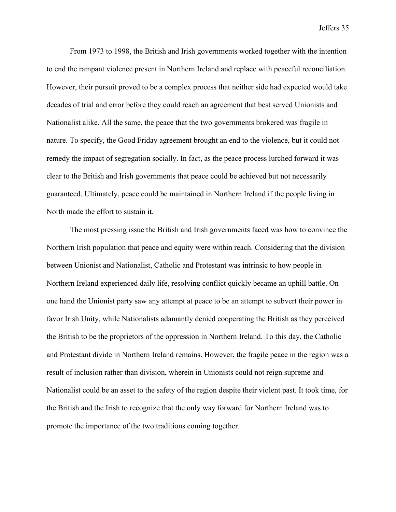From 1973 to 1998, the British and Irish governments worked together with the intention to end the rampant violence present in Northern Ireland and replace with peaceful reconciliation. However, their pursuit proved to be a complex process that neither side had expected would take decades of trial and error before they could reach an agreement that best served Unionists and Nationalist alike. All the same, the peace that the two governments brokered was fragile in nature. To specify, the Good Friday agreement brought an end to the violence, but it could not remedy the impact of segregation socially. In fact, as the peace process lurched forward it was clear to the British and Irish governments that peace could be achieved but not necessarily guaranteed. Ultimately, peace could be maintained in Northern Ireland if the people living in North made the effort to sustain it.

The most pressing issue the British and Irish governments faced was how to convince the Northern Irish population that peace and equity were within reach. Considering that the division between Unionist and Nationalist, Catholic and Protestant was intrinsic to how people in Northern Ireland experienced daily life, resolving conflict quickly became an uphill battle. On one hand the Unionist party saw any attempt at peace to be an attempt to subvert their power in favor Irish Unity, while Nationalists adamantly denied cooperating the British as they perceived the British to be the proprietors of the oppression in Northern Ireland. To this day, the Catholic and Protestant divide in Northern Ireland remains. However, the fragile peace in the region was a result of inclusion rather than division, wherein in Unionists could not reign supreme and Nationalist could be an asset to the safety of the region despite their violent past. It took time, for the British and the Irish to recognize that the only way forward for Northern Ireland was to promote the importance of the two traditions coming together.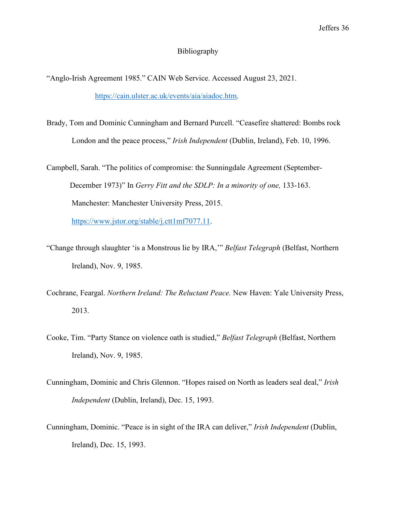#### Bibliography

"Anglo-Irish Agreement 1985." CAIN Web Service. Accessed August 23, 2021. [https://cain.ulster.ac.uk/events/aia/aiadoc.htm.](https://cain.ulster.ac.uk/events/aia/aiadoc.htm)

Brady, Tom and Dominic Cunningham and Bernard Purcell. "Ceasefire shattered: Bombs rock London and the peace process," *Irish Independent* (Dublin, Ireland), Feb. 10, 1996.

Campbell, Sarah. "The politics of compromise: the Sunningdale Agreement (September-December 1973)" In *Gerry Fitt and the SDLP: In a minority of one,* 133-163. Manchester: Manchester University Press, 2015. [https://www.jstor.org/stable/j.ctt1mf7077.11.](https://www.jstor.org/stable/j.ctt1mf7077.11)

"Change through slaughter 'is a Monstrous lie by IRA,'" *Belfast Telegraph* (Belfast, Northern Ireland), Nov. 9, 1985.

Cochrane, Feargal. *Northern Ireland: The Reluctant Peace.* New Haven: Yale University Press, 2013.

- Cooke, Tim. "Party Stance on violence oath is studied," *Belfast Telegraph* (Belfast, Northern Ireland), Nov. 9, 1985.
- Cunningham, Dominic and Chris Glennon. "Hopes raised on North as leaders seal deal," *Irish Independent* (Dublin, Ireland), Dec. 15, 1993.
- Cunningham, Dominic. "Peace is in sight of the IRA can deliver," *Irish Independent* (Dublin, Ireland), Dec. 15, 1993.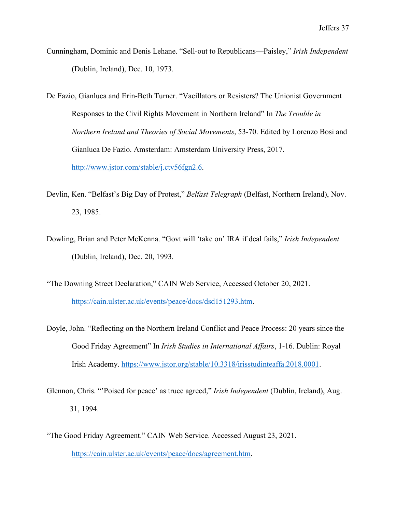- Cunningham, Dominic and Denis Lehane. "Sell-out to Republicans—Paisley," *Irish Independent* (Dublin, Ireland), Dec. 10, 1973.
- De Fazio, Gianluca and Erin-Beth Turner. "Vacillators or Resisters? The Unionist Government Responses to the Civil Rights Movement in Northern Ireland" In *The Trouble in Northern Ireland and Theories of Social Movements*, 53-70. Edited by Lorenzo Bosi and Gianluca De Fazio. Amsterdam: Amsterdam University Press, 2017. [http://www.jstor.com/stable/j.ctv56fgn2.6.](http://www.jstor.com/stable/j.ctv56fgn2.6)
- Devlin, Ken. "Belfast's Big Day of Protest," *Belfast Telegraph* (Belfast, Northern Ireland), Nov. 23, 1985.
- Dowling, Brian and Peter McKenna. "Govt will 'take on' IRA if deal fails," *Irish Independent* (Dublin, Ireland), Dec. 20, 1993.
- "The Downing Street Declaration," CAIN Web Service, Accessed October 20, 2021. [https://cain.ulster.ac.uk/events/peace/docs/dsd151293.htm.](https://cain.ulster.ac.uk/events/peace/docs/dsd151293.htm)
- Doyle, John. "Reflecting on the Northern Ireland Conflict and Peace Process: 20 years since the Good Friday Agreement" In *Irish Studies in International Affairs*, 1-16. Dublin: Royal Irish Academy. [https://www.jstor.org/stable/10.3318/irisstudinteaffa.2018.0001.](https://www.jstor.org/stable/10.3318/irisstudinteaffa.2018.0001)
- Glennon, Chris. "'Poised for peace' as truce agreed," *Irish Independent* (Dublin, Ireland), Aug. 31, 1994.
- "The Good Friday Agreement." CAIN Web Service. Accessed August 23, 2021. [https://cain.ulster.ac.uk/events/peace/docs/agreement.htm.](https://cain.ulster.ac.uk/events/peace/docs/agreement.htm)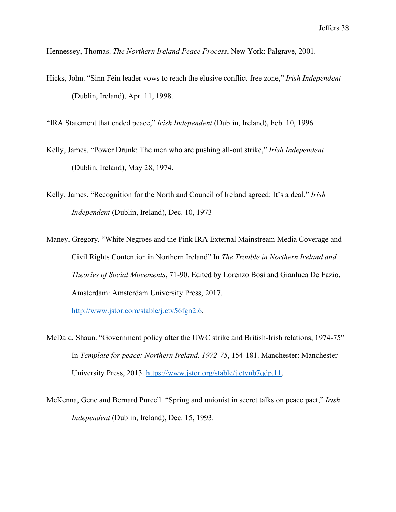Hennessey, Thomas. *The Northern Ireland Peace Process*, New York: Palgrave, 2001.

Hicks, John. "Sinn Féin leader vows to reach the elusive conflict-free zone," *Irish Independent* (Dublin, Ireland), Apr. 11, 1998.

"IRA Statement that ended peace," *Irish Independent* (Dublin, Ireland), Feb. 10, 1996.

- Kelly, James. "Power Drunk: The men who are pushing all-out strike," *Irish Independent* (Dublin, Ireland), May 28, 1974.
- Kelly, James. "Recognition for the North and Council of Ireland agreed: It's a deal," *Irish Independent* (Dublin, Ireland), Dec. 10, 1973
- Maney, Gregory. "White Negroes and the Pink IRA External Mainstream Media Coverage and Civil Rights Contention in Northern Ireland" In *The Trouble in Northern Ireland and Theories of Social Movements*, 71-90. Edited by Lorenzo Bosi and Gianluca De Fazio. Amsterdam: Amsterdam University Press, 2017.

[http://www.jstor.com/stable/j.ctv56fgn2.6.](http://www.jstor.com/stable/j.ctv56fgn2.6)

- McDaid, Shaun. "Government policy after the UWC strike and British-Irish relations, 1974-75" In *Template for peace: Northern Ireland, 1972-75*, 154-181. Manchester: Manchester University Press, 2013. [https://www.jstor.org/stable/j.ctvnb7qdp.11.](https://www.jstor.org/stable/j.ctvnb7qdp.11)
- McKenna, Gene and Bernard Purcell. "Spring and unionist in secret talks on peace pact," *Irish Independent* (Dublin, Ireland), Dec. 15, 1993.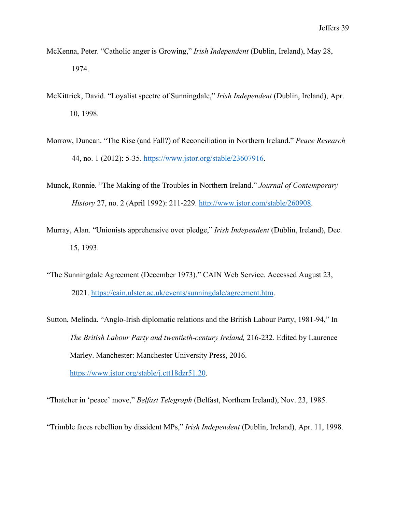- McKenna, Peter. "Catholic anger is Growing," *Irish Independent* (Dublin, Ireland), May 28, 1974.
- McKittrick, David. "Loyalist spectre of Sunningdale," *Irish Independent* (Dublin, Ireland), Apr. 10, 1998.
- Morrow, Duncan. "The Rise (and Fall?) of Reconciliation in Northern Ireland." *Peace Research* 44, no. 1 (2012): 5-35. [https://www.jstor.org/stable/23607916.](https://www.jstor.org/stable/23607916)
- Munck, Ronnie. "The Making of the Troubles in Northern Ireland." *Journal of Contemporary History* 27, no. 2 (April 1992): 211-229. [http://www.jstor.com/stable/260908.](http://www.jstor.com/stable/260908)
- Murray, Alan. "Unionists apprehensive over pledge," *Irish Independent* (Dublin, Ireland), Dec. 15, 1993.
- "The Sunningdale Agreement (December 1973)." CAIN Web Service. Accessed August 23, 2021. [https://cain.ulster.ac.uk/events/sunningdale/agreement.htm.](https://cain.ulster.ac.uk/events/sunningdale/agreement.htm)
- Sutton, Melinda. "Anglo-Irish diplomatic relations and the British Labour Party, 1981-94," In *The British Labour Party and twentieth-century Ireland,* 216-232. Edited by Laurence Marley. Manchester: Manchester University Press, 2016. [https://www.jstor.org/stable/j.ctt18dzr51.20.](https://www.jstor.org/stable/j.ctt18dzr51.20)

"Thatcher in 'peace' move," *Belfast Telegraph* (Belfast, Northern Ireland), Nov. 23, 1985.

"Trimble faces rebellion by dissident MPs," *Irish Independent* (Dublin, Ireland), Apr. 11, 1998.